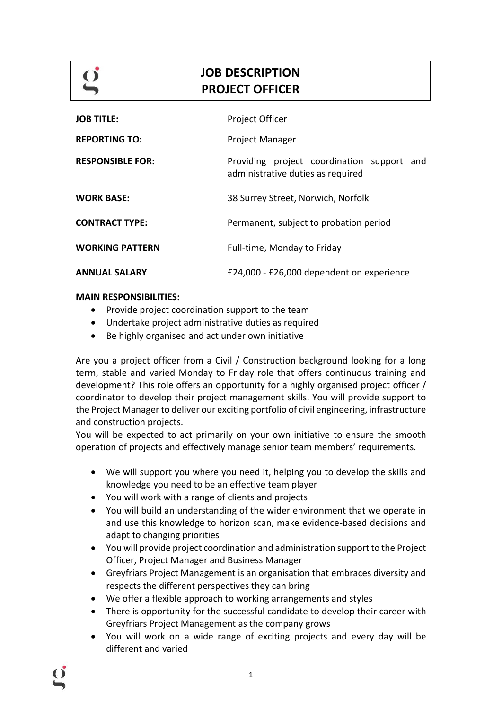# **JOB DESCRIPTION PROJECT OFFICER**

| <b>JOB TITLE:</b>       | <b>Project Officer</b>                                                             |
|-------------------------|------------------------------------------------------------------------------------|
| <b>REPORTING TO:</b>    | Project Manager                                                                    |
| <b>RESPONSIBLE FOR:</b> | Providing project coordination support<br>and<br>administrative duties as required |
| <b>WORK BASE:</b>       | 38 Surrey Street, Norwich, Norfolk                                                 |
| <b>CONTRACT TYPE:</b>   | Permanent, subject to probation period                                             |
| <b>WORKING PATTERN</b>  | Full-time, Monday to Friday                                                        |
| <b>ANNUAL SALARY</b>    | £24,000 - £26,000 dependent on experience                                          |

## **MAIN RESPONSIBILITIES:**

- Provide project coordination support to the team
- Undertake project administrative duties as required
- Be highly organised and act under own initiative

Are you a project officer from a Civil / Construction background looking for a long term, stable and varied Monday to Friday role that offers continuous training and development? This role offers an opportunity for a highly organised project officer / coordinator to develop their project management skills. You will provide support to the Project Manager to deliver our exciting portfolio of civil engineering, infrastructure and construction projects.

You will be expected to act primarily on your own initiative to ensure the smooth operation of projects and effectively manage senior team members' requirements.

- We will support you where you need it, helping you to develop the skills and knowledge you need to be an effective team player
- You will work with a range of clients and projects
- You will build an understanding of the wider environment that we operate in and use this knowledge to horizon scan, make evidence-based decisions and adapt to changing priorities
- You will provide project coordination and administration support to the Project Officer, Project Manager and Business Manager
- Greyfriars Project Management is an organisation that embraces diversity and respects the different perspectives they can bring
- We offer a flexible approach to working arrangements and styles
- There is opportunity for the successful candidate to develop their career with Greyfriars Project Management as the company grows
- You will work on a wide range of exciting projects and every day will be different and varied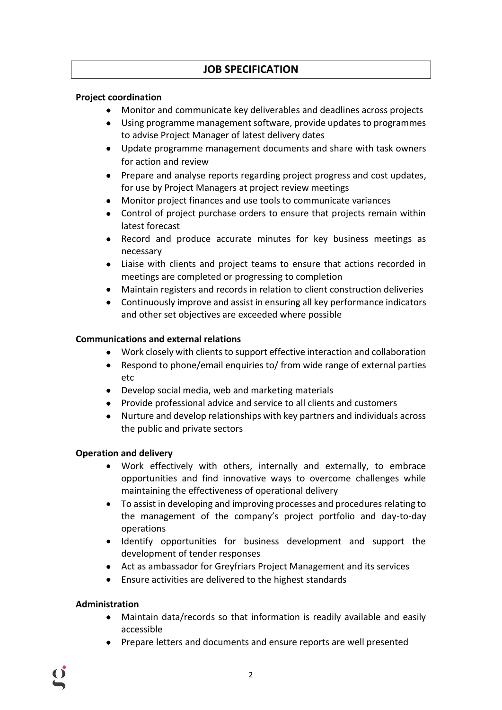## **JOB SPECIFICATION**

## **Project coordination**

- Monitor and communicate key deliverables and deadlines across projects
- Using programme management software, provide updates to programmes to advise Project Manager of latest delivery dates
- Update programme management documents and share with task owners for action and review
- Prepare and analyse reports regarding project progress and cost updates, for use by Project Managers at project review meetings
- Monitor project finances and use tools to communicate variances
- Control of project purchase orders to ensure that projects remain within latest forecast
- Record and produce accurate minutes for key business meetings as necessary
- Liaise with clients and project teams to ensure that actions recorded in meetings are completed or progressing to completion
- Maintain registers and records in relation to client construction deliveries
- Continuously improve and assist in ensuring all key performance indicators and other set objectives are exceeded where possible

## **Communications and external relations**

- Work closely with clients to support effective interaction and collaboration
- Respond to phone/email enquiries to/ from wide range of external parties etc
- Develop social media, web and marketing materials
- Provide professional advice and service to all clients and customers
- Nurture and develop relationships with key partners and individuals across the public and private sectors

## **Operation and delivery**

- Work effectively with others, internally and externally, to embrace opportunities and find innovative ways to overcome challenges while maintaining the effectiveness of operational delivery
- To assist in developing and improving processes and procedures relating to the management of the company's project portfolio and day-to-day operations
- Identify opportunities for business development and support the development of tender responses
- Act as ambassador for Greyfriars Project Management and its services
- Ensure activities are delivered to the highest standards

## **Administration**

- Maintain data/records so that information is readily available and easily accessible
- Prepare letters and documents and ensure reports are well presented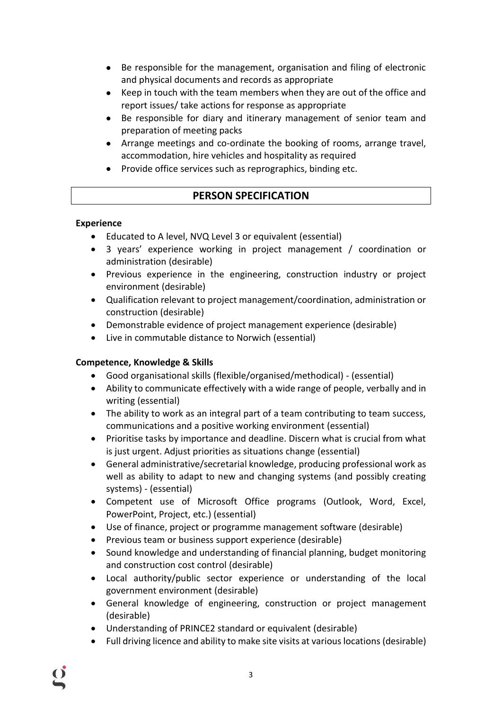- Be responsible for the management, organisation and filing of electronic and physical documents and records as appropriate
- Keep in touch with the team members when they are out of the office and report issues/ take actions for response as appropriate
- Be responsible for diary and itinerary management of senior team and preparation of meeting packs
- Arrange meetings and co-ordinate the booking of rooms, arrange travel, accommodation, hire vehicles and hospitality as required
- Provide office services such as reprographics, binding etc.

## **PERSON SPECIFICATION**

## **Experience**

- Educated to A level, NVQ Level 3 or equivalent (essential)
- 3 years' experience working in project management / coordination or administration (desirable)
- Previous experience in the engineering, construction industry or project environment (desirable)
- Qualification relevant to project management/coordination, administration or construction (desirable)
- Demonstrable evidence of project management experience (desirable)
- Live in commutable distance to Norwich (essential)

## **Competence, Knowledge & Skills**

- Good organisational skills (flexible/organised/methodical) (essential)
- Ability to communicate effectively with a wide range of people, verbally and in writing (essential)
- The ability to work as an integral part of a team contributing to team success, communications and a positive working environment (essential)
- Prioritise tasks by importance and deadline. Discern what is crucial from what is just urgent. Adjust priorities as situations change (essential)
- General administrative/secretarial knowledge, producing professional work as well as ability to adapt to new and changing systems (and possibly creating systems) - (essential)
- Competent use of Microsoft Office programs (Outlook, Word, Excel, PowerPoint, Project, etc.) (essential)
- Use of finance, project or programme management software (desirable)
- Previous team or business support experience (desirable)
- Sound knowledge and understanding of financial planning, budget monitoring and construction cost control (desirable)
- Local authority/public sector experience or understanding of the local government environment (desirable)
- General knowledge of engineering, construction or project management (desirable)
- Understanding of PRINCE2 standard or equivalent (desirable)
- Full driving licence and ability to make site visits at various locations (desirable)